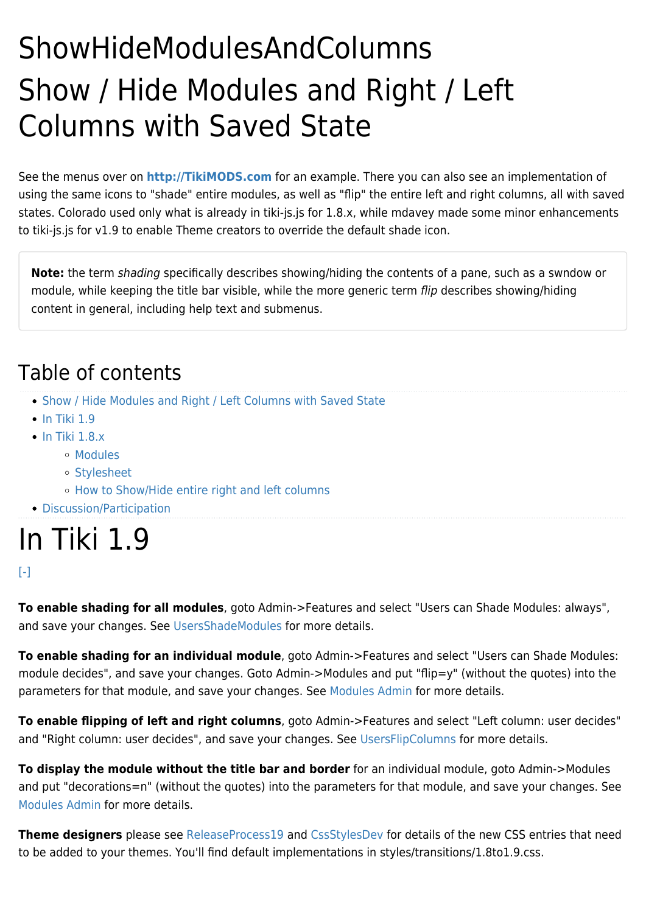## ShowHideModulesAndColumns Show / Hide Modules and Right / Left Columns with Saved State

See the menus over on **<http://TikiMODS.com>** for an example. There you can also see an implementation of using the same icons to "shade" entire modules, as well as "flip" the entire left and right columns, all with saved states. Colorado used only what is already in tiki-js.js for 1.8.x, while mdavey made some minor enhancements to tiki-js.js for v1.9 to enable Theme creators to override the default shade icon.

**Note:** the term shading specifically describes showing/hiding the contents of a pane, such as a swndow or module, while keeping the title bar visible, while the more generic term flip describes showing/hiding content in general, including help text and submenus.

### Table of contents

- [Show / Hide Modules and Right / Left Columns with Saved State](#page--1-0)
- $\cdot$  [In Tiki 1.9](#In_Tiki_1.9)
- $\cdot$  In Tiki 1.8. $x$ 
	- [Modules](#page--1-0)
	- [Stylesheet](#page--1-0)
	- [How to Show/Hide entire right and left columns](#page--1-0)
- [Discussion/Participation](#page--1-0)

## In Tiki 1.9

#### $[ - ]$

**To enable shading for all modules**, goto Admin->Features and select "Users can Shade Modules: always", and save your changes. See [UsersShadeModules](http://doc.tiki.org/UsersShadeModules) for more details.

**To enable shading for an individual module**, goto Admin->Features and select "Users can Shade Modules: module decides", and save your changes. Goto Admin->Modules and put "flip=y" (without the quotes) into the parameters for that module, and save your changes. See [Modules Admin](http://doc.tiki.org/Modules%20Admin) for more details.

**To enable flipping of left and right columns**, goto Admin->Features and select "Left column: user decides" and "Right column: user decides", and save your changes. See [UsersFlipColumns](http://doc.tiki.org/UsersFlipColumns) for more details.

**To display the module without the title bar and border** for an individual module, goto Admin->Modules and put "decorations=n" (without the quotes) into the parameters for that module, and save your changes. See [Modules Admin](http://doc.tiki.org/Modules%20Admin) for more details.

**Theme designers** please see [ReleaseProcess19](https://tiki.org/ReleaseProcess19) and [CssStylesDev](https://tiki.org/CssStylesDev) for details of the new CSS entries that need to be added to your themes. You'll find default implementations in styles/transitions/1.8to1.9.css.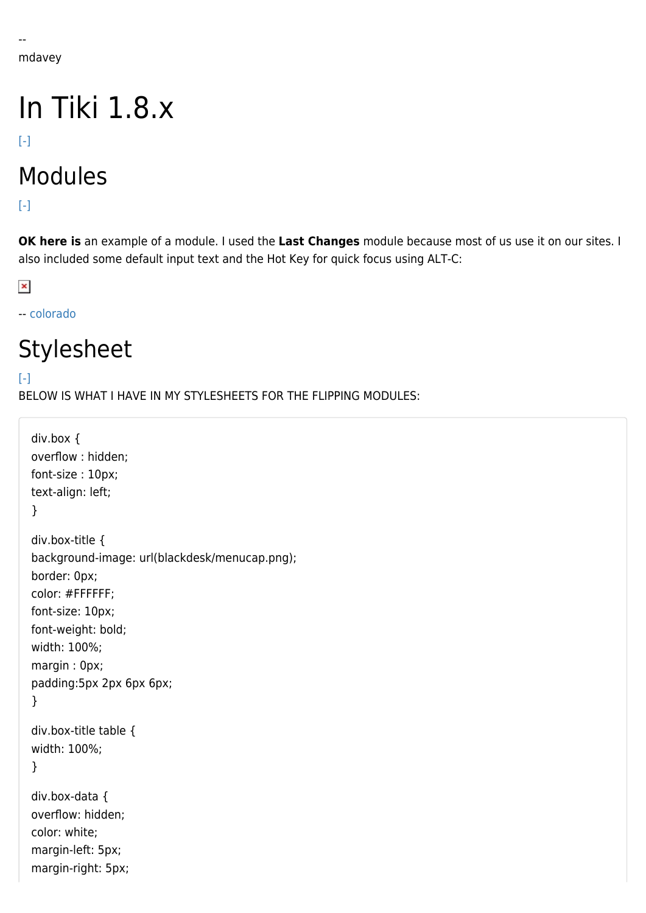# In Tiki 1.8.x

 $[ - ]$ 

## Modules

[\[-\]](#page--1-0)

**OK here is** an example of a module. I used the **Last Changes** module because most of us use it on our sites. I also included some default input text and the Hot Key for quick focus using ALT-C:

 $\pmb{\times}$ 

-- [colorado](https://tiki.org/Colorado)

### Stylesheet

 $[ - ]$ 

BELOW IS WHAT I HAVE IN MY STYLESHEETS FOR THE FLIPPING MODULES:

```
div.box {
overflow : hidden;
font-size : 10px;
text-align: left;
}
div.box-title {
background-image: url(blackdesk/menucap.png);
border: 0px;
color: #FFFFFF;
font-size: 10px;
font-weight: bold;
width: 100%;
margin : 0px;
padding:5px 2px 6px 6px;
}
div.box-title table {
width: 100%;
}
div.box-data {
overflow: hidden;
color: white;
margin-left: 5px;
margin-right: 5px;
```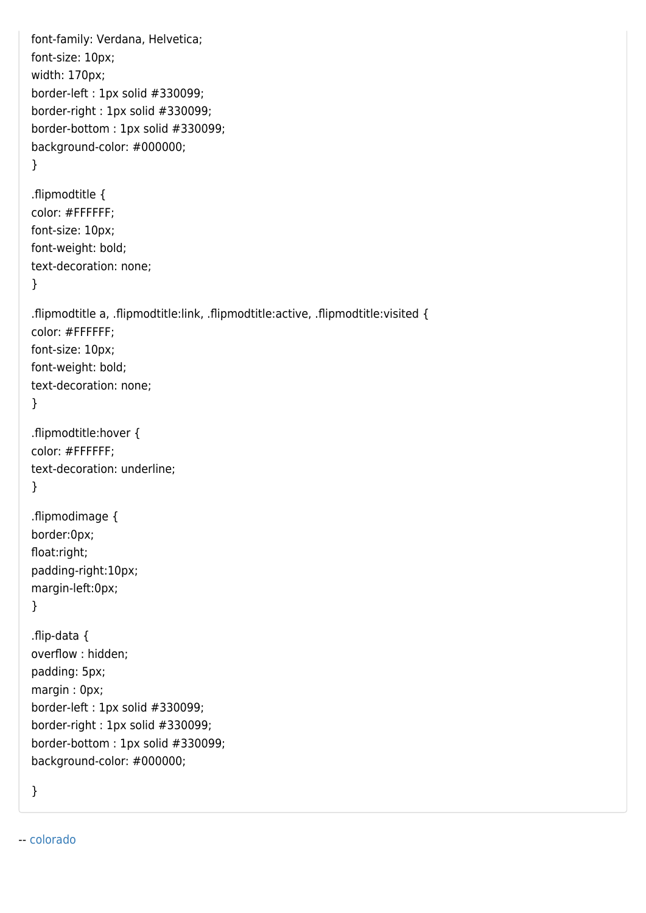```
font-family: Verdana, Helvetica;
font-size: 10px;
width: 170px;
border-left : 1px solid #330099;
border-right : 1px solid #330099;
border-bottom : 1px solid #330099;
background-color: #000000;
}
.flipmodtitle {
color: #FFFFFF;
font-size: 10px;
font-weight: bold;
text-decoration: none;
}
.flipmodtitle a, .flipmodtitle:link, .flipmodtitle:active, .flipmodtitle:visited {
color: #FFFFFF;
font-size: 10px;
font-weight: bold;
text-decoration: none;
}
.flipmodtitle:hover {
color: #FFFFFF;
text-decoration: underline;
}
.flipmodimage {
border:0px;
float:right;
padding-right:10px;
margin-left:0px;
}
.flip-data {
overflow : hidden;
padding: 5px;
margin : 0px;
border-left : 1px solid #330099;
border-right : 1px solid #330099;
border-bottom : 1px solid #330099;
background-color: #000000;
}
```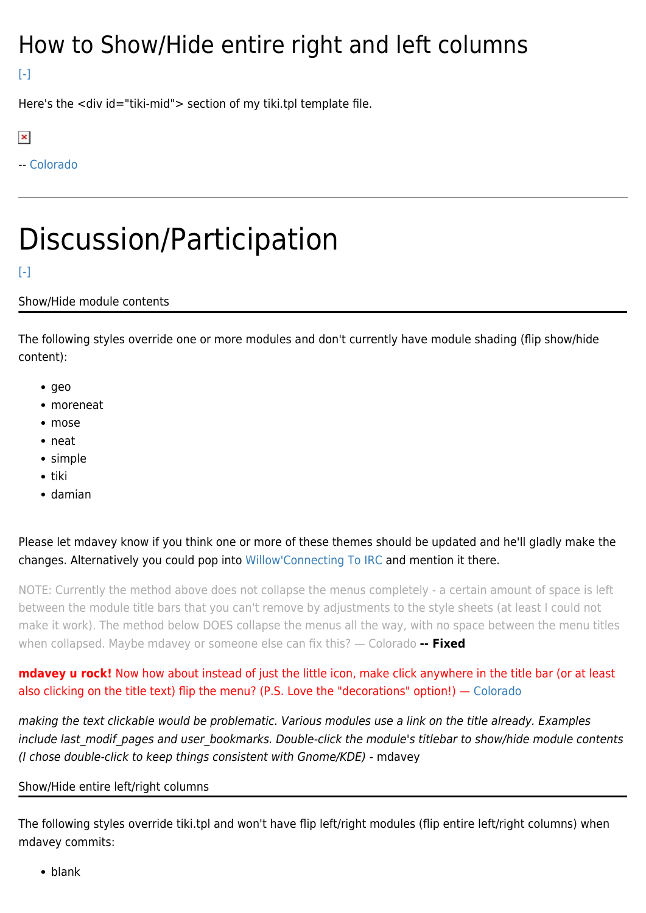### How to Show/Hide entire right and left columns

 $[-]$ 

Here's the <div id="tiki-mid"> section of my tiki.tpl template file.

 $\pmb{\times}$ 

-- [Colorado](https://tiki.org/Colorado)

# Discussion/Participation

### $[-]$

### Show/Hide module contents

The following styles override one or more modules and don't currently have module shading (flip show/hide content):

- $rac{1}{2}$
- moreneat
- mose
- neat
- simple
- tiki
- damian

Please let [mdavey](https://tiki.org/tiki-editpage.php?page=UserPageMDavey) know if you think one or more of these themes should be updated and he'll gladly make the changes. Alternatively you could pop into [Willow'Connecting To IRC](https://tiki.org/Connecting-To-IRC#tikiwiki) and mention it there.

NOTE: Currently the method above does not collapse the menus completely - a certain amount of space is left between the module title bars that you can't remove by adjustments to the style sheets (at least I could not make it work). The method below DOES collapse the menus all the way, with no space between the menu titles when collapsed. Maybe mdavey or someone else can fix this? — Colorado **-- Fixed**

**mdavey u rock!** Now how about instead of just the little icon, make click anywhere in the title bar (or at least also clicking on the title text) flip the menu? (P.S. Love the "decorations" option!) — [Colorado](https://tiki.org/Colorado)

making the text clickable would be problematic. Various modules use a link on the title already. Examples include last\_modif\_pages and user\_bookmarks. Double-click the module's titlebar to show/hide module contents (I chose double-click to keep things consistent with Gnome/KDE) - mdavey

#### Show/Hide entire left/right columns

The following styles override tiki.tpl and won't have flip left/right modules (flip entire left/right columns) when mdavey commits:

• blank